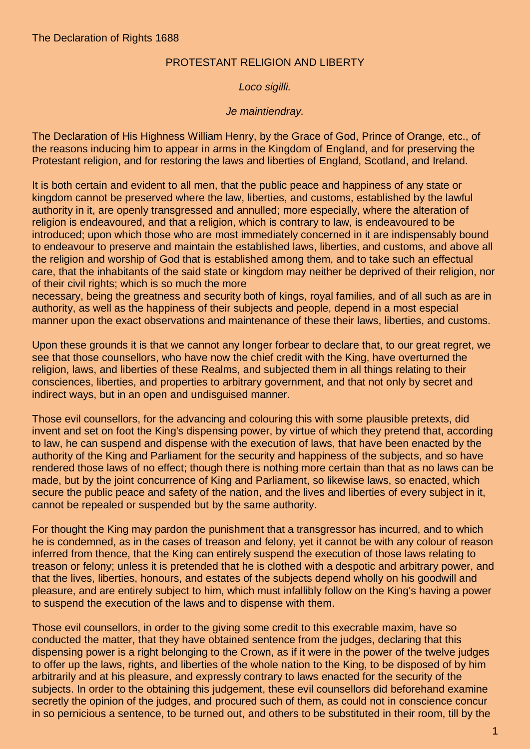## PROTESTANT RELIGION AND LIBERTY

## *Loco sigilli.*

## *Je maintiendray.*

The Declaration of His Highness William Henry, by the Grace of God, Prince of Orange, etc., of the reasons inducing him to appear in arms in the Kingdom of England, and for preserving the Protestant religion, and for restoring the laws and liberties of England, Scotland, and Ireland.

It is both certain and evident to all men, that the public peace and happiness of any state or kingdom cannot be preserved where the law, liberties, and customs, established by the lawful authority in it, are openly transgressed and annulled; more especially, where the alteration of religion is endeavoured, and that a religion, which is contrary to law, is endeavoured to be introduced; upon which those who are most immediately concerned in it are indispensably bound to endeavour to preserve and maintain the established laws, liberties, and customs, and above all the religion and worship of God that is established among them, and to take such an effectual care, that the inhabitants of the said state or kingdom may neither be deprived of their religion, nor of their civil rights; which is so much the more

necessary, being the greatness and security both of kings, royal families, and of all such as are in authority, as well as the happiness of their subjects and people, depend in a most especial manner upon the exact observations and maintenance of these their laws, liberties, and customs.

Upon these grounds it is that we cannot any longer forbear to declare that, to our great regret, we see that those counsellors, who have now the chief credit with the King, have overturned the religion, laws, and liberties of these Realms, and subjected them in all things relating to their consciences, liberties, and properties to arbitrary government, and that not only by secret and indirect ways, but in an open and undisguised manner.

Those evil counsellors, for the advancing and colouring this with some plausible pretexts, did invent and set on foot the King's dispensing power, by virtue of which they pretend that, according to law, he can suspend and dispense with the execution of laws, that have been enacted by the authority of the King and Parliament for the security and happiness of the subjects, and so have rendered those laws of no effect; though there is nothing more certain than that as no laws can be made, but by the joint concurrence of King and Parliament, so likewise laws, so enacted, which secure the public peace and safety of the nation, and the lives and liberties of every subject in it, cannot be repealed or suspended but by the same authority.

For thought the King may pardon the punishment that a transgressor has incurred, and to which he is condemned, as in the cases of treason and felony, yet it cannot be with any colour of reason inferred from thence, that the King can entirely suspend the execution of those laws relating to treason or felony; unless it is pretended that he is clothed with a despotic and arbitrary power, and that the lives, liberties, honours, and estates of the subjects depend wholly on his goodwill and pleasure, and are entirely subject to him, which must infallibly follow on the King's having a power to suspend the execution of the laws and to dispense with them.

Those evil counsellors, in order to the giving some credit to this execrable maxim, have so conducted the matter, that they have obtained sentence from the judges, declaring that this dispensing power is a right belonging to the Crown, as if it were in the power of the twelve judges to offer up the laws, rights, and liberties of the whole nation to the King, to be disposed of by him arbitrarily and at his pleasure, and expressly contrary to laws enacted for the security of the subjects. In order to the obtaining this judgement, these evil counsellors did beforehand examine secretly the opinion of the judges, and procured such of them, as could not in conscience concur in so pernicious a sentence, to be turned out, and others to be substituted in their room, till by the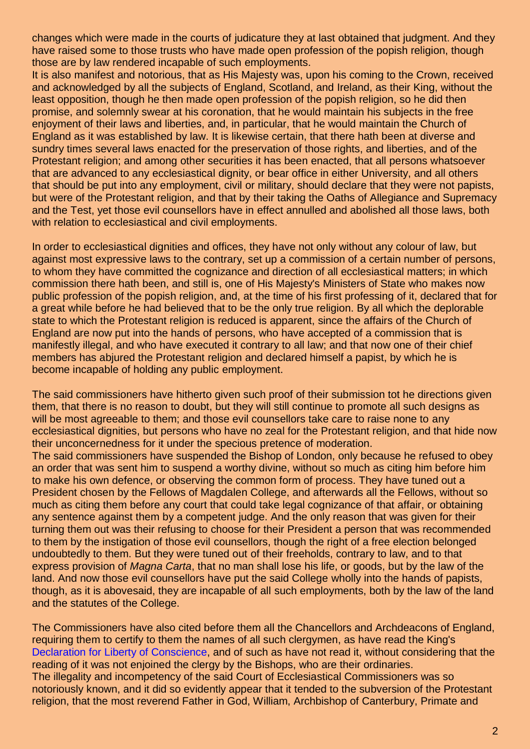changes which were made in the courts of judicature they at last obtained that judgment. And they have raised some to those trusts who have made open profession of the popish religion, though those are by law rendered incapable of such employments.

It is also manifest and notorious, that as His Majesty was, upon his coming to the Crown, received and acknowledged by all the subjects of England, Scotland, and Ireland, as their King, without the least opposition, though he then made open profession of the popish religion, so he did then promise, and solemnly swear at his coronation, that he would maintain his subjects in the free enjoyment of their laws and liberties, and, in particular, that he would maintain the Church of England as it was established by law. It is likewise certain, that there hath been at diverse and sundry times several laws enacted for the preservation of those rights, and liberties, and of the Protestant religion; and among other securities it has been enacted, that all persons whatsoever that are advanced to any ecclesiastical dignity, or bear office in either University, and all others that should be put into any employment, civil or military, should declare that they were not papists, but were of the Protestant religion, and that by their taking the Oaths of Allegiance and Supremacy and the Test, yet those evil counsellors have in effect annulled and abolished all those laws, both with relation to ecclesiastical and civil employments.

In order to ecclesiastical dignities and offices, they have not only without any colour of law, but against most expressive laws to the contrary, set up a commission of a certain number of persons, to whom they have committed the cognizance and direction of all ecclesiastical matters; in which commission there hath been, and still is, one of His Majesty's Ministers of State who makes now public profession of the popish religion, and, at the time of his first professing of it, declared that for a great while before he had believed that to be the only true religion. By all which the deplorable state to which the Protestant religion is reduced is apparent, since the affairs of the Church of England are now put into the hands of persons, who have accepted of a commission that is manifestly illegal, and who have executed it contrary to all law; and that now one of their chief members has abjured the Protestant religion and declared himself a papist, by which he is become incapable of holding any public employment.

The said commissioners have hitherto given such proof of their submission tot he directions given them, that there is no reason to doubt, but they will still continue to promote all such designs as will be most agreeable to them; and those evil counsellors take care to raise none to any ecclesiastical dignities, but persons who have no zeal for the Protestant religion, and that hide now their unconcernedness for it under the specious pretence of moderation.

The said commissioners have suspended the Bishop of London, only because he refused to obey an order that was sent him to suspend a worthy divine, without so much as citing him before him to make his own defence, or observing the common form of process. They have tuned out a President chosen by the Fellows of Magdalen College, and afterwards all the Fellows, without so much as citing them before any court that could take legal cognizance of that affair, or obtaining any sentence against them by a competent judge. And the only reason that was given for their turning them out was their refusing to choose for their President a person that was recommended to them by the instigation of those evil counsellors, though the right of a free election belonged undoubtedly to them. But they were tuned out of their freeholds, contrary to law, and to that express provision of *Magna Carta*, that no man shall lose his life, or goods, but by the law of the land. And now those evil counsellors have put the said College wholly into the hands of papists, though, as it is abovesaid, they are incapable of all such employments, both by the law of the land and the statutes of the College.

The Commissioners have also cited before them all the Chancellors and Archdeacons of England, requiring them to certify to them the names of all such clergymen, as have read the King's Declaration for Liberty of Conscience, and of such as have not read it, without considering that the reading of it was not enjoined the clergy by the Bishops, who are their ordinaries. The illegality and incompetency of the said Court of Ecclesiastical Commissioners was so notoriously known, and it did so evidently appear that it tended to the subversion of the Protestant religion, that the most reverend Father in God, William, Archbishop of Canterbury, Primate and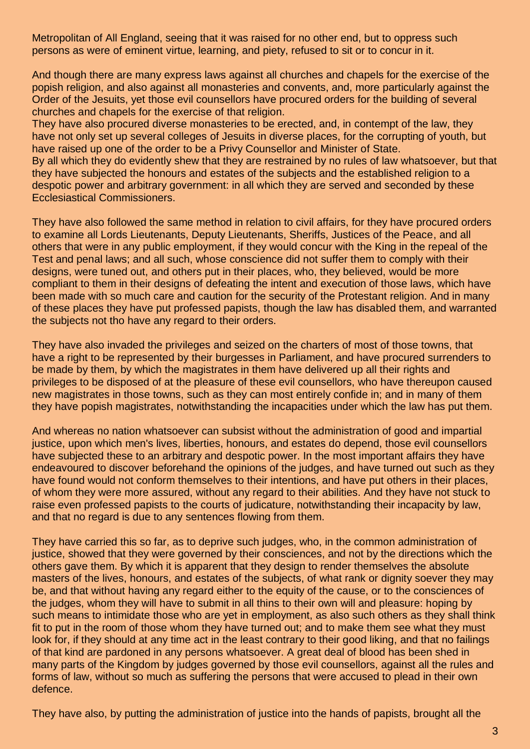Metropolitan of All England, seeing that it was raised for no other end, but to oppress such persons as were of eminent virtue, learning, and piety, refused to sit or to concur in it.

And though there are many express laws against all churches and chapels for the exercise of the popish religion, and also against all monasteries and convents, and, more particularly against the Order of the Jesuits, yet those evil counsellors have procured orders for the building of several churches and chapels for the exercise of that religion.

They have also procured diverse monasteries to be erected, and, in contempt of the law, they have not only set up several colleges of Jesuits in diverse places, for the corrupting of youth, but have raised up one of the order to be a Privy Counsellor and Minister of State.

By all which they do evidently shew that they are restrained by no rules of law whatsoever, but that they have subjected the honours and estates of the subjects and the established religion to a despotic power and arbitrary government: in all which they are served and seconded by these Ecclesiastical Commissioners.

They have also followed the same method in relation to civil affairs, for they have procured orders to examine all Lords Lieutenants, Deputy Lieutenants, Sheriffs, Justices of the Peace, and all others that were in any public employment, if they would concur with the King in the repeal of the Test and penal laws; and all such, whose conscience did not suffer them to comply with their designs, were tuned out, and others put in their places, who, they believed, would be more compliant to them in their designs of defeating the intent and execution of those laws, which have been made with so much care and caution for the security of the Protestant religion. And in many of these places they have put professed papists, though the law has disabled them, and warranted the subjects not tho have any regard to their orders.

They have also invaded the privileges and seized on the charters of most of those towns, that have a right to be represented by their burgesses in Parliament, and have procured surrenders to be made by them, by which the magistrates in them have delivered up all their rights and privileges to be disposed of at the pleasure of these evil counsellors, who have thereupon caused new magistrates in those towns, such as they can most entirely confide in; and in many of them they have popish magistrates, notwithstanding the incapacities under which the law has put them.

And whereas no nation whatsoever can subsist without the administration of good and impartial justice, upon which men's lives, liberties, honours, and estates do depend, those evil counsellors have subjected these to an arbitrary and despotic power. In the most important affairs they have endeavoured to discover beforehand the opinions of the judges, and have turned out such as they have found would not conform themselves to their intentions, and have put others in their places, of whom they were more assured, without any regard to their abilities. And they have not stuck to raise even professed papists to the courts of judicature, notwithstanding their incapacity by law, and that no regard is due to any sentences flowing from them.

They have carried this so far, as to deprive such judges, who, in the common administration of justice, showed that they were governed by their consciences, and not by the directions which the others gave them. By which it is apparent that they design to render themselves the absolute masters of the lives, honours, and estates of the subjects, of what rank or dignity soever they may be, and that without having any regard either to the equity of the cause, or to the consciences of the judges, whom they will have to submit in all thins to their own will and pleasure: hoping by such means to intimidate those who are yet in employment, as also such others as they shall think fit to put in the room of those whom they have turned out; and to make them see what they must look for, if they should at any time act in the least contrary to their good liking, and that no failings of that kind are pardoned in any persons whatsoever. A great deal of blood has been shed in many parts of the Kingdom by judges governed by those evil counsellors, against all the rules and forms of law, without so much as suffering the persons that were accused to plead in their own defence.

They have also, by putting the administration of justice into the hands of papists, brought all the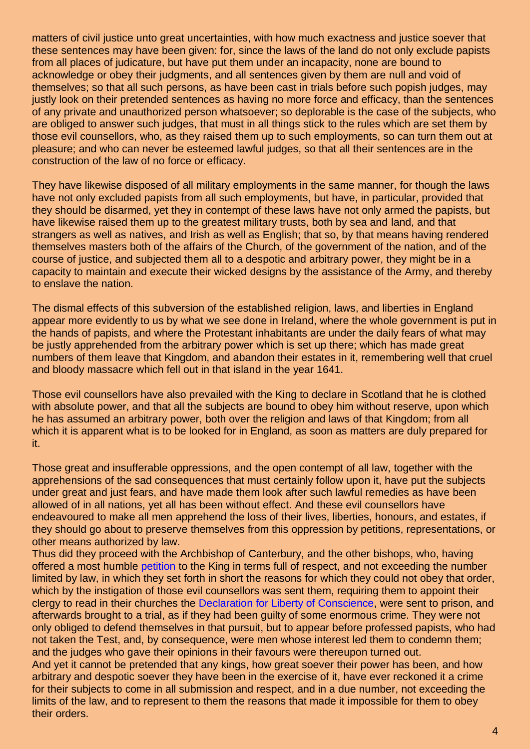matters of civil justice unto great uncertainties, with how much exactness and justice soever that these sentences may have been given: for, since the laws of the land do not only exclude papists from all places of judicature, but have put them under an incapacity, none are bound to acknowledge or obey their judgments, and all sentences given by them are null and void of themselves; so that all such persons, as have been cast in trials before such popish judges, may justly look on their pretended sentences as having no more force and efficacy, than the sentences of any private and unauthorized person whatsoever; so deplorable is the case of the subjects, who are obliged to answer such judges, that must in all things stick to the rules which are set them by those evil counsellors, who, as they raised them up to such employments, so can turn them out at pleasure; and who can never be esteemed lawful judges, so that all their sentences are in the construction of the law of no force or efficacy.

They have likewise disposed of all military employments in the same manner, for though the laws have not only excluded papists from all such employments, but have, in particular, provided that they should be disarmed, yet they in contempt of these laws have not only armed the papists, but have likewise raised them up to the greatest military trusts, both by sea and land, and that strangers as well as natives, and Irish as well as English; that so, by that means having rendered themselves masters both of the affairs of the Church, of the government of the nation, and of the course of justice, and subjected them all to a despotic and arbitrary power, they might be in a capacity to maintain and execute their wicked designs by the assistance of the Army, and thereby to enslave the nation.

The dismal effects of this subversion of the established religion, laws, and liberties in England appear more evidently to us by what we see done in Ireland, where the whole government is put in the hands of papists, and where the Protestant inhabitants are under the daily fears of what may be justly apprehended from the arbitrary power which is set up there; which has made great numbers of them leave that Kingdom, and abandon their estates in it, remembering well that cruel and bloody massacre which fell out in that island in the year 1641.

Those evil counsellors have also prevailed with the King to declare in Scotland that he is clothed with absolute power, and that all the subjects are bound to obey him without reserve, upon which he has assumed an arbitrary power, both over the religion and laws of that Kingdom; from all which it is apparent what is to be looked for in England, as soon as matters are duly prepared for it.

Those great and insufferable oppressions, and the open contempt of all law, together with the apprehensions of the sad consequences that must certainly follow upon it, have put the subjects under great and just fears, and have made them look after such lawful remedies as have been allowed of in all nations, yet all has been without effect. And these evil counsellors have endeavoured to make all men apprehend the loss of their lives, liberties, honours, and estates, if they should go about to preserve themselves from this oppression by petitions, representations, or other means authorized by law.

Thus did they proceed with the Archbishop of Canterbury, and the other bishops, who, having offered a most humble petition to the King in terms full of respect, and not exceeding the number limited by law, in which they set forth in short the reasons for which they could not obey that order, which by the instigation of those evil counsellors was sent them, requiring them to appoint their clergy to read in their churches the Declaration for Liberty of Conscience, were sent to prison, and afterwards brought to a trial, as if they had been guilty of some enormous crime. They were not only obliged to defend themselves in that pursuit, but to appear before professed papists, who had not taken the Test, and, by consequence, were men whose interest led them to condemn them; and the judges who gave their opinions in their favours were thereupon turned out.

And yet it cannot be pretended that any kings, how great soever their power has been, and how arbitrary and despotic soever they have been in the exercise of it, have ever reckoned it a crime for their subjects to come in all submission and respect, and in a due number, not exceeding the limits of the law, and to represent to them the reasons that made it impossible for them to obey their orders.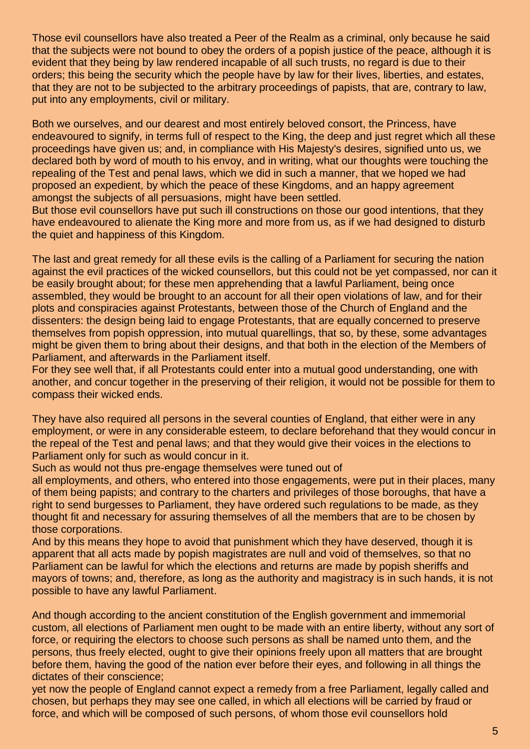Those evil counsellors have also treated a Peer of the Realm as a criminal, only because he said that the subjects were not bound to obey the orders of a popish justice of the peace, although it is evident that they being by law rendered incapable of all such trusts, no regard is due to their orders; this being the security which the people have by law for their lives, liberties, and estates, that they are not to be subjected to the arbitrary proceedings of papists, that are, contrary to law, put into any employments, civil or military.

Both we ourselves, and our dearest and most entirely beloved consort, the Princess, have endeavoured to signify, in terms full of respect to the King, the deep and just regret which all these proceedings have given us; and, in compliance with His Majesty's desires, signified unto us, we declared both by word of mouth to his envoy, and in writing, what our thoughts were touching the repealing of the Test and penal laws, which we did in such a manner, that we hoped we had proposed an expedient, by which the peace of these Kingdoms, and an happy agreement amongst the subjects of all persuasions, might have been settled.

But those evil counsellors have put such ill constructions on those our good intentions, that they have endeavoured to alienate the King more and more from us, as if we had designed to disturb the quiet and happiness of this Kingdom.

The last and great remedy for all these evils is the calling of a Parliament for securing the nation against the evil practices of the wicked counsellors, but this could not be yet compassed, nor can it be easily brought about; for these men apprehending that a lawful Parliament, being once assembled, they would be brought to an account for all their open violations of law, and for their plots and conspiracies against Protestants, between those of the Church of England and the dissenters: the design being laid to engage Protestants, that are equally concerned to preserve themselves from popish oppression, into mutual quarellings, that so, by these, some advantages might be given them to bring about their designs, and that both in the election of the Members of Parliament, and afterwards in the Parliament itself.

For they see well that, if all Protestants could enter into a mutual good understanding, one with another, and concur together in the preserving of their religion, it would not be possible for them to compass their wicked ends.

They have also required all persons in the several counties of England, that either were in any employment, or were in any considerable esteem, to declare beforehand that they would concur in the repeal of the Test and penal laws; and that they would give their voices in the elections to Parliament only for such as would concur in it.

Such as would not thus pre-engage themselves were tuned out of

all employments, and others, who entered into those engagements, were put in their places, many of them being papists; and contrary to the charters and privileges of those boroughs, that have a right to send burgesses to Parliament, they have ordered such regulations to be made, as they thought fit and necessary for assuring themselves of all the members that are to be chosen by those corporations.

And by this means they hope to avoid that punishment which they have deserved, though it is apparent that all acts made by popish magistrates are null and void of themselves, so that no Parliament can be lawful for which the elections and returns are made by popish sheriffs and mayors of towns; and, therefore, as long as the authority and magistracy is in such hands, it is not possible to have any lawful Parliament.

And though according to the ancient constitution of the English government and immemorial custom, all elections of Parliament men ought to be made with an entire liberty, without any sort of force, or requiring the electors to choose such persons as shall be named unto them, and the persons, thus freely elected, ought to give their opinions freely upon all matters that are brought before them, having the good of the nation ever before their eyes, and following in all things the dictates of their conscience;

yet now the people of England cannot expect a remedy from a free Parliament, legally called and chosen, but perhaps they may see one called, in which all elections will be carried by fraud or force, and which will be composed of such persons, of whom those evil counsellors hold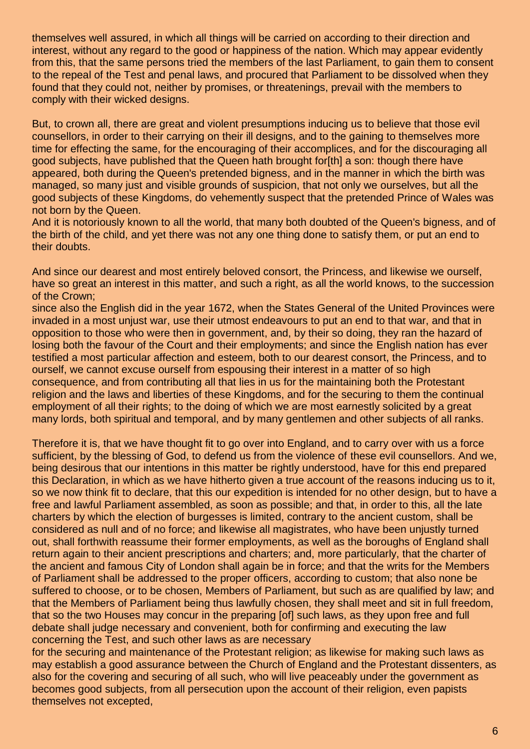themselves well assured, in which all things will be carried on according to their direction and interest, without any regard to the good or happiness of the nation. Which may appear evidently from this, that the same persons tried the members of the last Parliament, to gain them to consent to the repeal of the Test and penal laws, and procured that Parliament to be dissolved when they found that they could not, neither by promises, or threatenings, prevail with the members to comply with their wicked designs.

But, to crown all, there are great and violent presumptions inducing us to believe that those evil counsellors, in order to their carrying on their ill designs, and to the gaining to themselves more time for effecting the same, for the encouraging of their accomplices, and for the discouraging all good subjects, have published that the Queen hath brought for[th] a son: though there have appeared, both during the Queen's pretended bigness, and in the manner in which the birth was managed, so many just and visible grounds of suspicion, that not only we ourselves, but all the good subjects of these Kingdoms, do vehemently suspect that the pretended Prince of Wales was not born by the Queen.

And it is notoriously known to all the world, that many both doubted of the Queen's bigness, and of the birth of the child, and yet there was not any one thing done to satisfy them, or put an end to their doubts.

And since our dearest and most entirely beloved consort, the Princess, and likewise we ourself, have so great an interest in this matter, and such a right, as all the world knows, to the succession of the Crown;

since also the English did in the year 1672, when the States General of the United Provinces were invaded in a most unjust war, use their utmost endeavours to put an end to that war, and that in opposition to those who were then in government, and, by their so doing, they ran the hazard of losing both the favour of the Court and their employments; and since the English nation has ever testified a most particular affection and esteem, both to our dearest consort, the Princess, and to ourself, we cannot excuse ourself from espousing their interest in a matter of so high consequence, and from contributing all that lies in us for the maintaining both the Protestant religion and the laws and liberties of these Kingdoms, and for the securing to them the continual employment of all their rights; to the doing of which we are most earnestly solicited by a great many lords, both spiritual and temporal, and by many gentlemen and other subjects of all ranks.

Therefore it is, that we have thought fit to go over into England, and to carry over with us a force sufficient, by the blessing of God, to defend us from the violence of these evil counsellors. And we, being desirous that our intentions in this matter be rightly understood, have for this end prepared this Declaration, in which as we have hitherto given a true account of the reasons inducing us to it, so we now think fit to declare, that this our expedition is intended for no other design, but to have a free and lawful Parliament assembled, as soon as possible; and that, in order to this, all the late charters by which the election of burgesses is limited, contrary to the ancient custom, shall be considered as null and of no force; and likewise all magistrates, who have been unjustly turned out, shall forthwith reassume their former employments, as well as the boroughs of England shall return again to their ancient prescriptions and charters; and, more particularly, that the charter of the ancient and famous City of London shall again be in force; and that the writs for the Members of Parliament shall be addressed to the proper officers, according to custom; that also none be suffered to choose, or to be chosen, Members of Parliament, but such as are qualified by law; and that the Members of Parliament being thus lawfully chosen, they shall meet and sit in full freedom, that so the two Houses may concur in the preparing [of] such laws, as they upon free and full debate shall judge necessary and convenient, both for confirming and executing the law concerning the Test, and such other laws as are necessary

for the securing and maintenance of the Protestant religion; as likewise for making such laws as may establish a good assurance between the Church of England and the Protestant dissenters, as also for the covering and securing of all such, who will live peaceably under the government as becomes good subjects, from all persecution upon the account of their religion, even papists themselves not excepted,